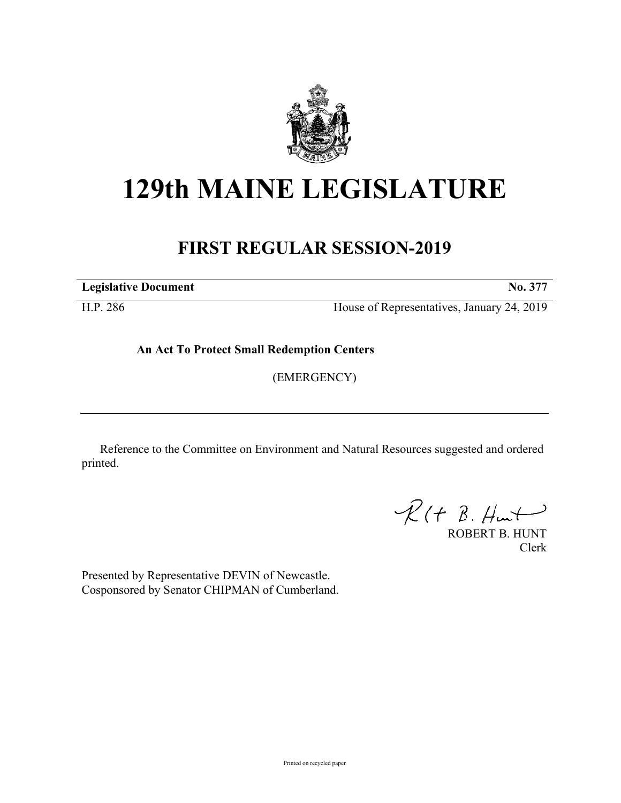

## **129th MAINE LEGISLATURE**

## **FIRST REGULAR SESSION-2019**

**Legislative Document No. 377**

H.P. 286 House of Representatives, January 24, 2019

**An Act To Protect Small Redemption Centers**

(EMERGENCY)

Reference to the Committee on Environment and Natural Resources suggested and ordered printed.

 $R(t B. Hmt)$ 

ROBERT B. HUNT Clerk

Presented by Representative DEVIN of Newcastle. Cosponsored by Senator CHIPMAN of Cumberland.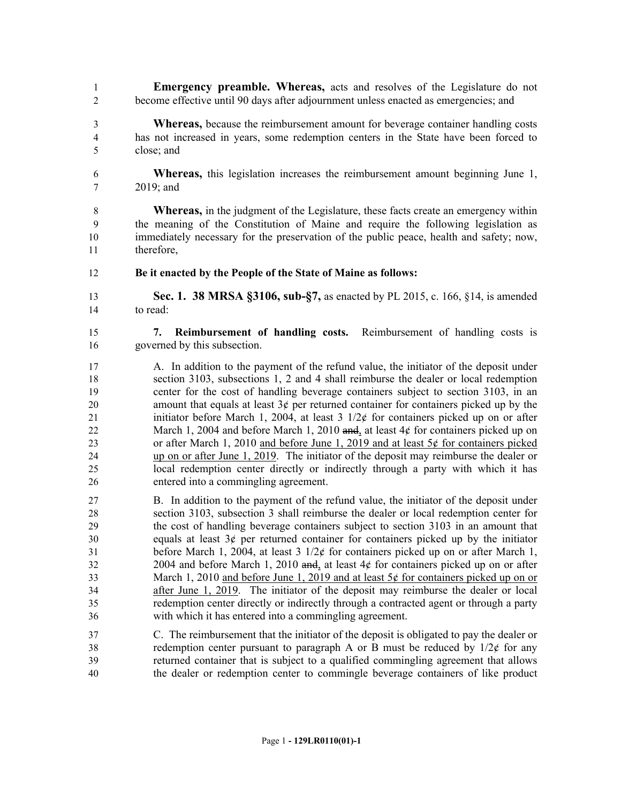**Emergency preamble. Whereas,** acts and resolves of the Legislature do not become effective until 90 days after adjournment unless enacted as emergencies; and

- **Whereas,** because the reimbursement amount for beverage container handling costs has not increased in years, some redemption centers in the State have been forced to close; and
- **Whereas,** this legislation increases the reimbursement amount beginning June 1, 2019; and
- **Whereas,** in the judgment of the Legislature, these facts create an emergency within the meaning of the Constitution of Maine and require the following legislation as immediately necessary for the preservation of the public peace, health and safety; now, therefore,
- **Be it enacted by the People of the State of Maine as follows:**
- **Sec. 1. 38 MRSA §3106, sub-§7,** as enacted by PL 2015, c. 166, §14, is amended to read:
- **7. Reimbursement of handling costs.** Reimbursement of handling costs is governed by this subsection.
- A. In addition to the payment of the refund value, the initiator of the deposit under section 3103, subsections 1, 2 and 4 shall reimburse the dealer or local redemption center for the cost of handling beverage containers subject to section 3103, in an 20 amount that equals at least  $3¢$  per returned container for containers picked up by the 21 initiator before March 1, 2004, at least  $3 \frac{1}{2}$  for containers picked up on or after 22 March 1, 2004 and before March 1, 2010 and, at least 4¢ for containers picked up on or after March 1, 2010 and before June 1, 2019 and at least 5¢ for containers picked up on or after June 1, 2019. The initiator of the deposit may reimburse the dealer or local redemption center directly or indirectly through a party with which it has entered into a commingling agreement.
- B. In addition to the payment of the refund value, the initiator of the deposit under section 3103, subsection 3 shall reimburse the dealer or local redemption center for the cost of handling beverage containers subject to section 3103 in an amount that 30 equals at least  $3¢$  per returned container for containers picked up by the initiator before March 1, 2004, at least 3 1/2¢ for containers picked up on or after March 1, 32 2004 and before March 1, 2010 and, at least  $4¢$  for containers picked up on or after 33 March 1, 2010 and before June 1, 2019 and at least 5¢ for containers picked up on or after June 1, 2019. The initiator of the deposit may reimburse the dealer or local redemption center directly or indirectly through a contracted agent or through a party with which it has entered into a commingling agreement.
- C. The reimbursement that the initiator of the deposit is obligated to pay the dealer or 38 redemption center pursuant to paragraph A or B must be reduced by  $1/2\ell$  for any returned container that is subject to a qualified commingling agreement that allows the dealer or redemption center to commingle beverage containers of like product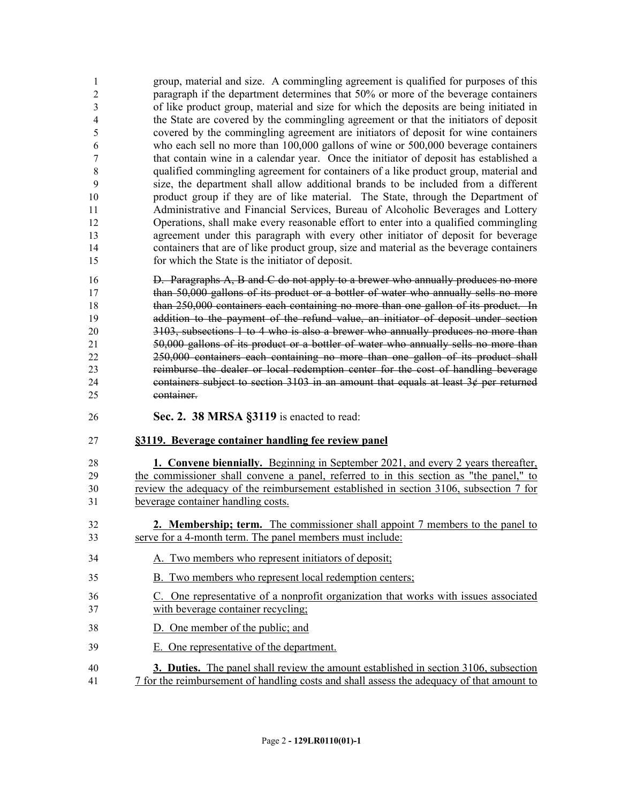group, material and size. A commingling agreement is qualified for purposes of this paragraph if the department determines that 50% or more of the beverage containers of like product group, material and size for which the deposits are being initiated in the State are covered by the commingling agreement or that the initiators of deposit covered by the commingling agreement are initiators of deposit for wine containers who each sell no more than 100,000 gallons of wine or 500,000 beverage containers that contain wine in a calendar year. Once the initiator of deposit has established a qualified commingling agreement for containers of a like product group, material and size, the department shall allow additional brands to be included from a different product group if they are of like material. The State, through the Department of Administrative and Financial Services, Bureau of Alcoholic Beverages and Lottery Operations, shall make every reasonable effort to enter into a qualified commingling agreement under this paragraph with every other initiator of deposit for beverage containers that are of like product group, size and material as the beverage containers for which the State is the initiator of deposit.

 D. Paragraphs A, B and C do not apply to a brewer who annually produces no more than 50,000 gallons of its product or a bottler of water who annually sells no more than 250,000 containers each containing no more than one gallon of its product. In addition to the payment of the refund value, an initiator of deposit under section 3103, subsections 1 to 4 who is also a brewer who annually produces no more than 50,000 gallons of its product or a bottler of water who annually sells no more than 250,000 containers each containing no more than one gallon of its product shall reimburse the dealer or local redemption center for the cost of handling beverage 24 containers subject to section in an amount that equals at least  $3¢$  per returned container.

**Sec. 2. 38 MRSA §3119** is enacted to read:

## **§3119. Beverage container handling fee review panel**

 **1. Convene biennially.** Beginning in September 2021, and every 2 years thereafter, the commissioner shall convene a panel, referred to in this section as "the panel," to review the adequacy of the reimbursement established in section 3106, subsection 7 for beverage container handling costs.

- **2. Membership; term.** The commissioner shall appoint 7 members to the panel to serve for a 4-month term. The panel members must include:
- A. Two members who represent initiators of deposit;
- B. Two members who represent local redemption centers;
- C. One representative of a nonprofit organization that works with issues associated with beverage container recycling;
- D. One member of the public; and
- E. One representative of the department.
- **3. Duties.** The panel shall review the amount established in section 3106, subsection 7 for the reimbursement of handling costs and shall assess the adequacy of that amount to